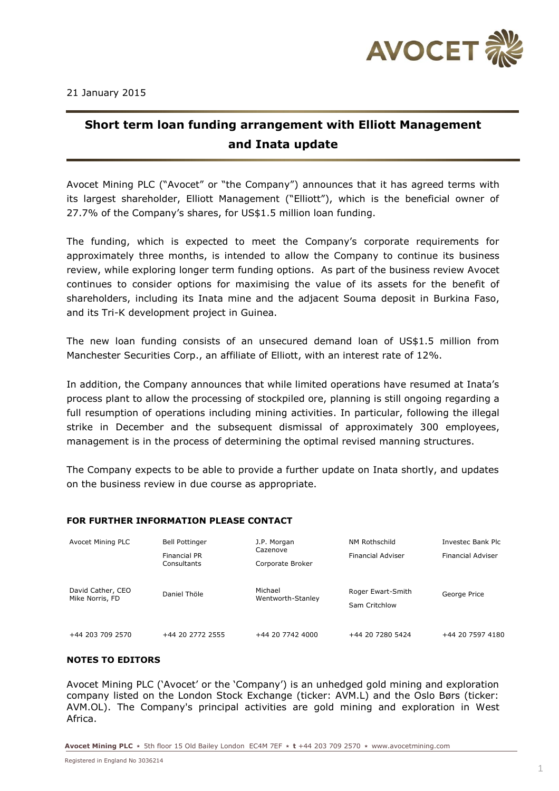

## **Short term loan funding arrangement with Elliott Management and Inata update**

Avocet Mining PLC ("Avocet" or "the Company") announces that it has agreed terms with its largest shareholder, Elliott Management ("Elliott"), which is the beneficial owner of 27.7% of the Company's shares, for US\$1.5 million loan funding.

The funding, which is expected to meet the Company's corporate requirements for approximately three months, is intended to allow the Company to continue its business review, while exploring longer term funding options. As part of the business review Avocet continues to consider options for maximising the value of its assets for the benefit of shareholders, including its Inata mine and the adjacent Souma deposit in Burkina Faso, and its Tri-K development project in Guinea.

The new loan funding consists of an unsecured demand loan of US\$1.5 million from Manchester Securities Corp., an affiliate of Elliott, with an interest rate of 12%.

In addition, the Company announces that while limited operations have resumed at Inata's process plant to allow the processing of stockpiled ore, planning is still ongoing regarding a full resumption of operations including mining activities. In particular, following the illegal strike in December and the subsequent dismissal of approximately 300 employees, management is in the process of determining the optimal revised manning structures.

The Company expects to be able to provide a further update on Inata shortly, and updates on the business review in due course as appropriate.

## **FOR FURTHER INFORMATION PLEASE CONTACT**

| Avocet Mining PLC                    | <b>Bell Pottinger</b><br>Financial PR<br>Consultants | J.P. Morgan<br>Cazenove<br>Corporate Broker | NM Rothschild<br><b>Financial Adviser</b> | Investec Bank Plc<br><b>Financial Adviser</b> |
|--------------------------------------|------------------------------------------------------|---------------------------------------------|-------------------------------------------|-----------------------------------------------|
| David Cather, CEO<br>Mike Norris, FD | Daniel Thöle                                         | Michael<br>Wentworth-Stanley                | Roger Ewart-Smith<br>Sam Critchlow        | George Price                                  |
| +44 203 709 2570                     | +44 20 2772 2555                                     | +44 20 7742 4000                            | +44 20 7280 5424                          | +44 20 7597 4180                              |

## **NOTES TO EDITORS**

Avocet Mining PLC ('Avocet' or the 'Company') is an unhedged gold mining and exploration company listed on the London Stock Exchange (ticker: AVM.L) and the Oslo Børs (ticker: AVM.OL). The Company's principal activities are gold mining and exploration in West Africa.

**Avocet Mining PLC \*** 5th floor 15 Old Bailey London EC4M 7EF **\* t** +44 203 709 2570 **\*** www.avocetmining.com